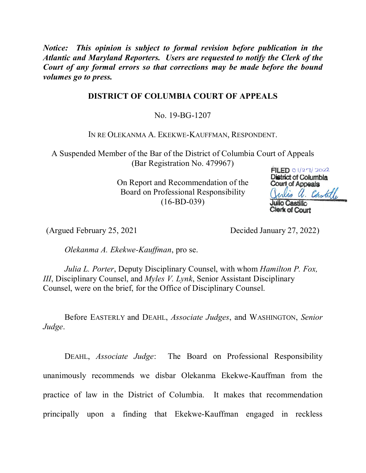*Notice: This opinion is subject to formal revision before publication in the Atlantic and Maryland Reporters. Users are requested to notify the Clerk of the Court of any formal errors so that corrections may be made before the bound volumes go to press.*

# **DISTRICT OF COLUMBIA COURT OF APPEALS**

No. 19-BG-1207

IN RE OLEKANMA A. EKEKWE-KAUFFMAN, RESPONDENT.

A Suspended Member of the Bar of the District of Columbia Court of Appeals (Bar Registration No. 479967)

> On Report and Recommendation of the Board on Professional Responsibility (16-BD-039)



(Argued February 25, 2021 Decided January 27, 2022)

*Olekanma A. Ekekwe-Kauffman*, pro se.

*Julia L. Porter*, Deputy Disciplinary Counsel, with whom *Hamilton P. Fox, III*, Disciplinary Counsel, and *Myles V. Lynk*, Senior Assistant Disciplinary Counsel, were on the brief, for the Office of Disciplinary Counsel.

Before EASTERLY and DEAHL, *Associate Judges*, and WASHINGTON, *Senior Judge*.

DEAHL, *Associate Judge*: The Board on Professional Responsibility unanimously recommends we disbar Olekanma Ekekwe-Kauffman from the practice of law in the District of Columbia. It makes that recommendation principally upon a finding that Ekekwe-Kauffman engaged in reckless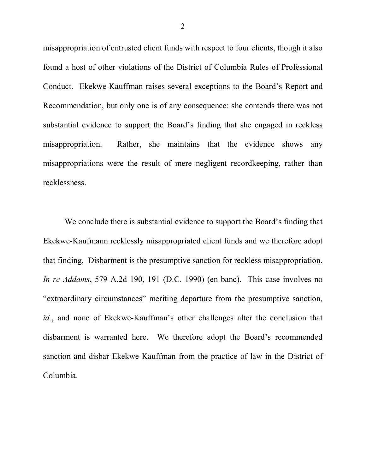misappropriation of entrusted client funds with respect to four clients, though it also found a host of other violations of the District of Columbia Rules of Professional Conduct. Ekekwe-Kauffman raises several exceptions to the Board's Report and Recommendation, but only one is of any consequence: she contends there was not substantial evidence to support the Board's finding that she engaged in reckless misappropriation. Rather, she maintains that the evidence shows any misappropriations were the result of mere negligent recordkeeping, rather than recklessness.

We conclude there is substantial evidence to support the Board's finding that Ekekwe-Kaufmann recklessly misappropriated client funds and we therefore adopt that finding. Disbarment is the presumptive sanction for reckless misappropriation. *In re Addams*, 579 A.2d 190, 191 (D.C. 1990) (en banc). This case involves no "extraordinary circumstances" meriting departure from the presumptive sanction, *id.*, and none of Ekekwe-Kauffman's other challenges alter the conclusion that disbarment is warranted here. We therefore adopt the Board's recommended sanction and disbar Ekekwe-Kauffman from the practice of law in the District of Columbia.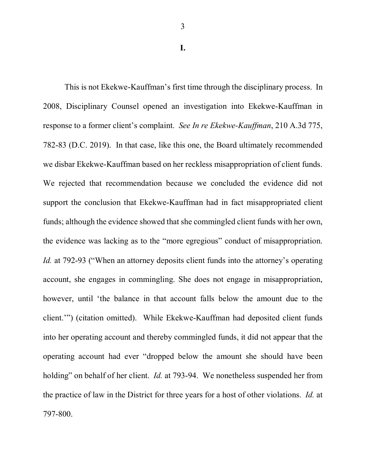This is not Ekekwe-Kauffman's first time through the disciplinary process. In 2008, Disciplinary Counsel opened an investigation into Ekekwe-Kauffman in response to a former client's complaint. *See In re Ekekwe-Kauffman*, 210 A.3d 775, 782-83 (D.C. 2019). In that case, like this one, the Board ultimately recommended we disbar Ekekwe-Kauffman based on her reckless misappropriation of client funds. We rejected that recommendation because we concluded the evidence did not support the conclusion that Ekekwe-Kauffman had in fact misappropriated client funds; although the evidence showed that she commingled client funds with her own, the evidence was lacking as to the "more egregious" conduct of misappropriation. *Id.* at 792-93 ("When an attorney deposits client funds into the attorney's operating account, she engages in commingling. She does not engage in misappropriation, however, until 'the balance in that account falls below the amount due to the client.'") (citation omitted). While Ekekwe-Kauffman had deposited client funds into her operating account and thereby commingled funds, it did not appear that the operating account had ever "dropped below the amount she should have been holding" on behalf of her client. *Id.* at 793-94. We nonetheless suspended her from the practice of law in the District for three years for a host of other violations. *Id.* at 797-800.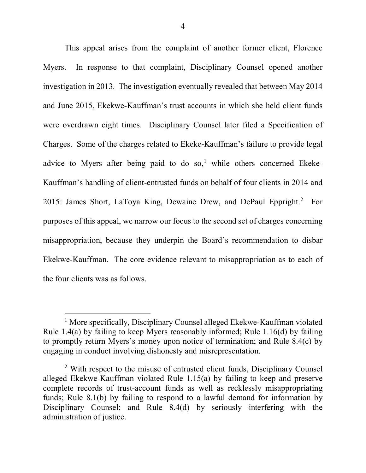This appeal arises from the complaint of another former client, Florence Myers. In response to that complaint, Disciplinary Counsel opened another investigation in 2013. The investigation eventually revealed that between May 2014 and June 2015, Ekekwe-Kauffman's trust accounts in which she held client funds were overdrawn eight times. Disciplinary Counsel later filed a Specification of Charges. Some of the charges related to Ekeke-Kauffman's failure to provide legal advice to Myers after being paid to do so,<sup>1</sup> while others concerned Ekeke-Kauffman's handling of client-entrusted funds on behalf of four clients in 2014 and 2015: James Short, LaToya King, Dewaine Drew, and DePaul Eppright.<sup>2</sup> For purposes of this appeal, we narrow our focus to the second set of charges concerning misappropriation, because they underpin the Board's recommendation to disbar Ekekwe-Kauffman. The core evidence relevant to misappropriation as to each of the four clients was as follows.

<sup>&</sup>lt;sup>1</sup> More specifically, Disciplinary Counsel alleged Ekekwe-Kauffman violated Rule 1.4(a) by failing to keep Myers reasonably informed; Rule 1.16(d) by failing to promptly return Myers's money upon notice of termination; and Rule 8.4(c) by engaging in conduct involving dishonesty and misrepresentation.

 $2$  With respect to the misuse of entrusted client funds, Disciplinary Counsel alleged Ekekwe-Kauffman violated Rule 1.15(a) by failing to keep and preserve complete records of trust-account funds as well as recklessly misappropriating funds; Rule 8.1(b) by failing to respond to a lawful demand for information by Disciplinary Counsel; and Rule 8.4(d) by seriously interfering with the administration of justice.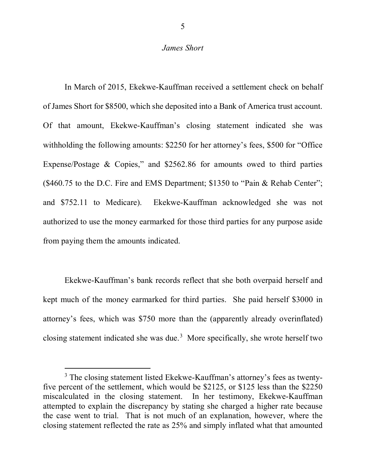### *James Short*

In March of 2015, Ekekwe-Kauffman received a settlement check on behalf of James Short for \$8500, which she deposited into a Bank of America trust account. Of that amount, Ekekwe-Kauffman's closing statement indicated she was withholding the following amounts: \$2250 for her attorney's fees, \$500 for "Office Expense/Postage & Copies," and \$2562.86 for amounts owed to third parties (\$460.75 to the D.C. Fire and EMS Department; \$1350 to "Pain & Rehab Center"; and \$752.11 to Medicare). Ekekwe-Kauffman acknowledged she was not authorized to use the money earmarked for those third parties for any purpose aside from paying them the amounts indicated.

Ekekwe-Kauffman's bank records reflect that she both overpaid herself and kept much of the money earmarked for third parties. She paid herself \$3000 in attorney's fees, which was \$750 more than the (apparently already overinflated) closing statement indicated she was due.<sup>3</sup> More specifically, she wrote herself two

<sup>&</sup>lt;sup>3</sup> The closing statement listed Ekekwe-Kauffman's attorney's fees as twentyfive percent of the settlement, which would be \$2125, or \$125 less than the \$2250 miscalculated in the closing statement. In her testimony, Ekekwe-Kauffman attempted to explain the discrepancy by stating she charged a higher rate because the case went to trial. That is not much of an explanation, however, where the closing statement reflected the rate as 25% and simply inflated what that amounted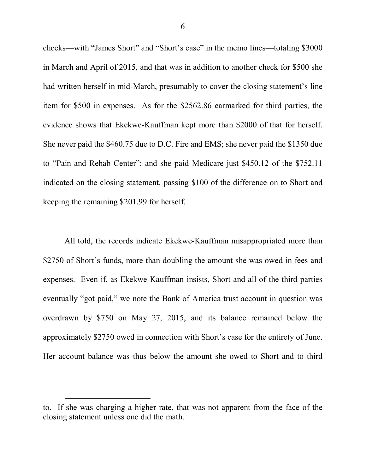checks—with "James Short" and "Short's case" in the memo lines—totaling \$3000 in March and April of 2015, and that was in addition to another check for \$500 she had written herself in mid-March, presumably to cover the closing statement's line item for \$500 in expenses. As for the \$2562.86 earmarked for third parties, the evidence shows that Ekekwe-Kauffman kept more than \$2000 of that for herself. She never paid the \$460.75 due to D.C. Fire and EMS; she never paid the \$1350 due to "Pain and Rehab Center"; and she paid Medicare just \$450.12 of the \$752.11 indicated on the closing statement, passing \$100 of the difference on to Short and keeping the remaining \$201.99 for herself.

All told, the records indicate Ekekwe-Kauffman misappropriated more than \$2750 of Short's funds, more than doubling the amount she was owed in fees and expenses. Even if, as Ekekwe-Kauffman insists, Short and all of the third parties eventually "got paid," we note the Bank of America trust account in question was overdrawn by \$750 on May 27, 2015, and its balance remained below the approximately \$2750 owed in connection with Short's case for the entirety of June. Her account balance was thus below the amount she owed to Short and to third

to. If she was charging a higher rate, that was not apparent from the face of the closing statement unless one did the math.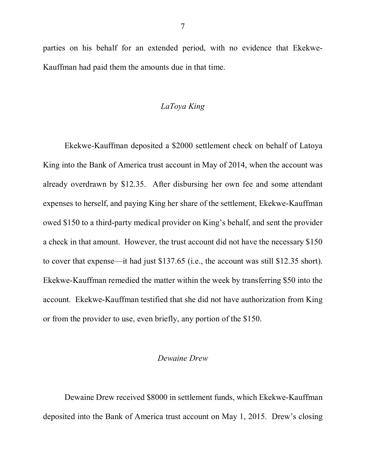parties on his behalf for an extended period, with no evidence that Ekekwe-Kauffman had paid them the amounts due in that time.

## *LaToya King*

Ekekwe-Kauffman deposited a \$2000 settlement check on behalf of Latoya King into the Bank of America trust account in May of 2014, when the account was already overdrawn by \$12.35. After disbursing her own fee and some attendant expenses to herself, and paying King her share of the settlement, Ekekwe-Kauffman owed \$150 to a third-party medical provider on King's behalf, and sent the provider a check in that amount. However, the trust account did not have the necessary \$150 to cover that expense—it had just \$137.65 (i.e., the account was still \$12.35 short). Ekekwe-Kauffman remedied the matter within the week by transferring \$50 into the account. Ekekwe-Kauffman testified that she did not have authorization from King or from the provider to use, even briefly, any portion of the \$150.

### *Dewaine Drew*

Dewaine Drew received \$8000 in settlement funds, which Ekekwe-Kauffman deposited into the Bank of America trust account on May 1, 2015. Drew's closing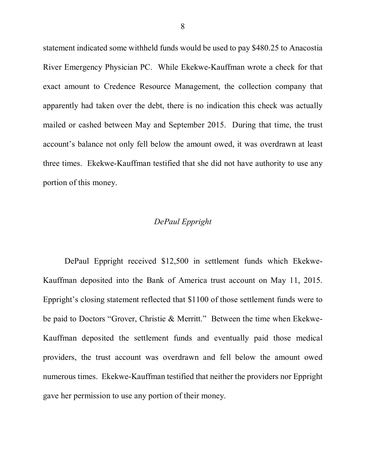statement indicated some withheld funds would be used to pay \$480.25 to Anacostia River Emergency Physician PC. While Ekekwe-Kauffman wrote a check for that exact amount to Credence Resource Management, the collection company that apparently had taken over the debt, there is no indication this check was actually mailed or cashed between May and September 2015. During that time, the trust account's balance not only fell below the amount owed, it was overdrawn at least three times. Ekekwe-Kauffman testified that she did not have authority to use any portion of this money.

# *DePaul Eppright*

DePaul Eppright received \$12,500 in settlement funds which Ekekwe-Kauffman deposited into the Bank of America trust account on May 11, 2015. Eppright's closing statement reflected that \$1100 of those settlement funds were to be paid to Doctors "Grover, Christie & Merritt." Between the time when Ekekwe-Kauffman deposited the settlement funds and eventually paid those medical providers, the trust account was overdrawn and fell below the amount owed numerous times. Ekekwe-Kauffman testified that neither the providers nor Eppright gave her permission to use any portion of their money.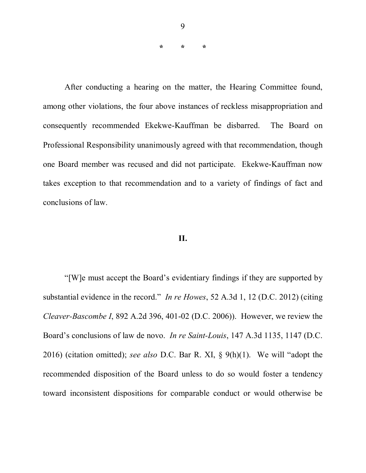**\* \* \***

After conducting a hearing on the matter, the Hearing Committee found, among other violations, the four above instances of reckless misappropriation and consequently recommended Ekekwe-Kauffman be disbarred. The Board on Professional Responsibility unanimously agreed with that recommendation, though one Board member was recused and did not participate. Ekekwe-Kauffman now takes exception to that recommendation and to a variety of findings of fact and conclusions of law.

#### **II.**

"[W]e must accept the Board's evidentiary findings if they are supported by substantial evidence in the record." *In re Howes*, 52 A.3d 1, 12 (D.C. 2012) (citing *Cleaver-Bascombe I*, 892 A.2d 396, 401-02 (D.C. 2006)). However, we review the Board's conclusions of law de novo. *In re Saint-Louis*, 147 A.3d 1135, 1147 (D.C. 2016) (citation omitted); *see also* D.C. Bar R. XI, § 9(h)(1). We will "adopt the recommended disposition of the Board unless to do so would foster a tendency toward inconsistent dispositions for comparable conduct or would otherwise be

9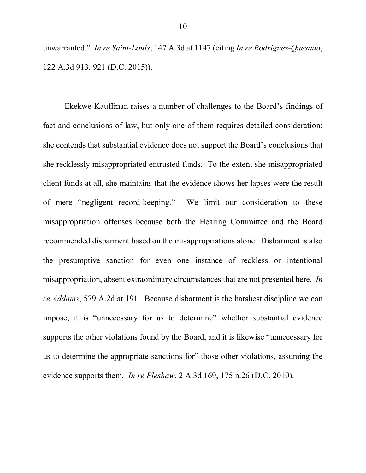unwarranted." *In re Saint-Louis*, 147 A.3d at 1147 (citing *In re Rodriguez-Quesada*, 122 A.3d 913, 921 (D.C. 2015)).

Ekekwe-Kauffman raises a number of challenges to the Board's findings of fact and conclusions of law, but only one of them requires detailed consideration: she contends that substantial evidence does not support the Board's conclusions that she recklessly misappropriated entrusted funds. To the extent she misappropriated client funds at all, she maintains that the evidence shows her lapses were the result of mere "negligent record-keeping." We limit our consideration to these misappropriation offenses because both the Hearing Committee and the Board recommended disbarment based on the misappropriations alone. Disbarment is also the presumptive sanction for even one instance of reckless or intentional misappropriation, absent extraordinary circumstances that are not presented here. *In re Addams*, 579 A.2d at 191. Because disbarment is the harshest discipline we can impose, it is "unnecessary for us to determine" whether substantial evidence supports the other violations found by the Board, and it is likewise "unnecessary for us to determine the appropriate sanctions for" those other violations, assuming the evidence supports them. *In re Pleshaw*, 2 A.3d 169, 175 n.26 (D.C. 2010).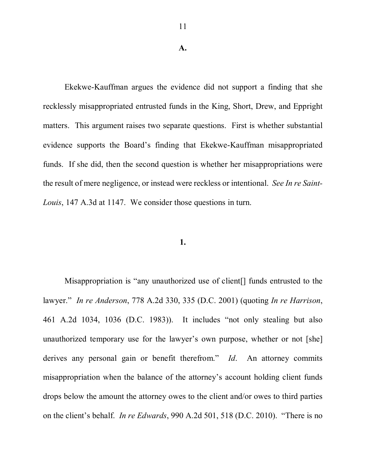#### **A.**

Ekekwe-Kauffman argues the evidence did not support a finding that she recklessly misappropriated entrusted funds in the King, Short, Drew, and Eppright matters. This argument raises two separate questions. First is whether substantial evidence supports the Board's finding that Ekekwe-Kauffman misappropriated funds. If she did, then the second question is whether her misappropriations were the result of mere negligence, or instead were reckless or intentional. *See In re Saint-Louis*, 147 A.3d at 1147. We consider those questions in turn.

#### **1.**

Misappropriation is "any unauthorized use of client[] funds entrusted to the lawyer." *In re Anderson*, 778 A.2d 330, 335 (D.C. 2001) (quoting *In re Harrison*, 461 A.2d 1034, 1036 (D.C. 1983)). It includes "not only stealing but also unauthorized temporary use for the lawyer's own purpose, whether or not [she] derives any personal gain or benefit therefrom." *Id*. An attorney commits misappropriation when the balance of the attorney's account holding client funds drops below the amount the attorney owes to the client and/or owes to third parties on the client's behalf. *In re Edwards*, 990 A.2d 501, 518 (D.C. 2010). "There is no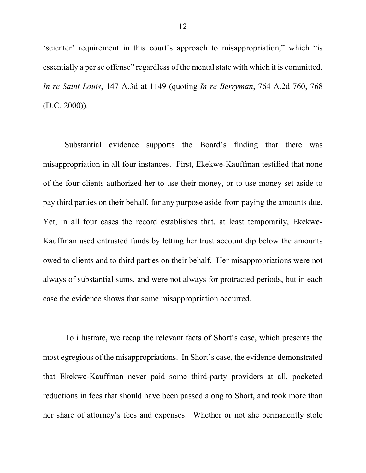'scienter' requirement in this court's approach to misappropriation," which "is essentially a per se offense" regardless of the mental state with which it is committed. *In re Saint Louis*, 147 A.3d at 1149 (quoting *In re Berryman*, 764 A.2d 760, 768  $(D.C. 2000)$ ).

Substantial evidence supports the Board's finding that there was misappropriation in all four instances. First, Ekekwe-Kauffman testified that none of the four clients authorized her to use their money, or to use money set aside to pay third parties on their behalf, for any purpose aside from paying the amounts due. Yet, in all four cases the record establishes that, at least temporarily, Ekekwe-Kauffman used entrusted funds by letting her trust account dip below the amounts owed to clients and to third parties on their behalf. Her misappropriations were not always of substantial sums, and were not always for protracted periods, but in each case the evidence shows that some misappropriation occurred.

To illustrate, we recap the relevant facts of Short's case, which presents the most egregious of the misappropriations. In Short's case, the evidence demonstrated that Ekekwe-Kauffman never paid some third-party providers at all, pocketed reductions in fees that should have been passed along to Short, and took more than her share of attorney's fees and expenses. Whether or not she permanently stole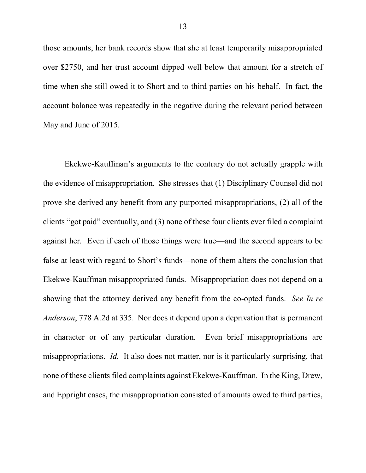those amounts, her bank records show that she at least temporarily misappropriated over \$2750, and her trust account dipped well below that amount for a stretch of time when she still owed it to Short and to third parties on his behalf. In fact, the account balance was repeatedly in the negative during the relevant period between May and June of 2015.

Ekekwe-Kauffman's arguments to the contrary do not actually grapple with the evidence of misappropriation. She stresses that (1) Disciplinary Counsel did not prove she derived any benefit from any purported misappropriations, (2) all of the clients "got paid" eventually, and (3) none of these four clients ever filed a complaint against her. Even if each of those things were true—and the second appears to be false at least with regard to Short's funds—none of them alters the conclusion that Ekekwe-Kauffman misappropriated funds. Misappropriation does not depend on a showing that the attorney derived any benefit from the co-opted funds. *See In re Anderson*, 778 A.2d at 335. Nor does it depend upon a deprivation that is permanent in character or of any particular duration. Even brief misappropriations are misappropriations. *Id.* It also does not matter, nor is it particularly surprising, that none of these clients filed complaints against Ekekwe-Kauffman. In the King, Drew, and Eppright cases, the misappropriation consisted of amounts owed to third parties,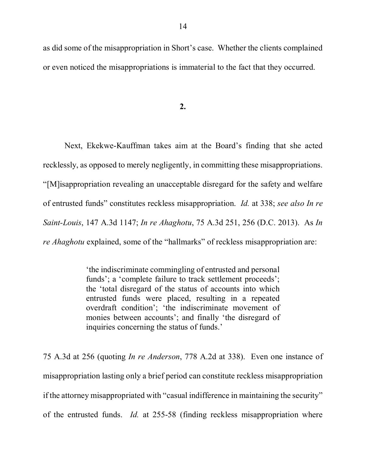as did some of the misappropriation in Short's case. Whether the clients complained or even noticed the misappropriations is immaterial to the fact that they occurred.

**2.**

Next, Ekekwe-Kauffman takes aim at the Board's finding that she acted recklessly, as opposed to merely negligently, in committing these misappropriations. "[M]isappropriation revealing an unacceptable disregard for the safety and welfare of entrusted funds" constitutes reckless misappropriation. *Id.* at 338; *see also In re Saint-Louis*, 147 A.3d 1147; *In re Ahaghotu*, 75 A.3d 251, 256 (D.C. 2013). As *In re Ahaghotu* explained, some of the "hallmarks" of reckless misappropriation are:

> 'the indiscriminate commingling of entrusted and personal funds'; a 'complete failure to track settlement proceeds'; the 'total disregard of the status of accounts into which entrusted funds were placed, resulting in a repeated overdraft condition'; 'the indiscriminate movement of monies between accounts'; and finally 'the disregard of inquiries concerning the status of funds.'

75 A.3d at 256 (quoting *In re Anderson*, 778 A.2d at 338). Even one instance of misappropriation lasting only a brief period can constitute reckless misappropriation if the attorney misappropriated with "casual indifference in maintaining the security" of the entrusted funds. *Id.* at 255-58 (finding reckless misappropriation where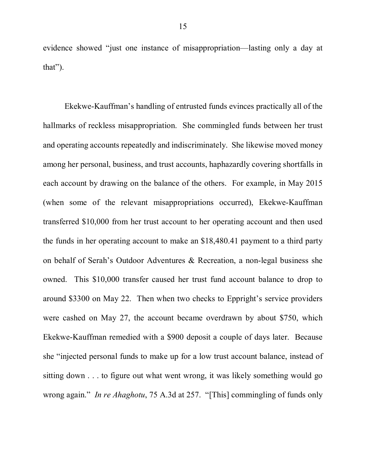evidence showed "just one instance of misappropriation—lasting only a day at that").

Ekekwe-Kauffman's handling of entrusted funds evinces practically all of the hallmarks of reckless misappropriation. She commingled funds between her trust and operating accounts repeatedly and indiscriminately. She likewise moved money among her personal, business, and trust accounts, haphazardly covering shortfalls in each account by drawing on the balance of the others. For example, in May 2015 (when some of the relevant misappropriations occurred), Ekekwe-Kauffman transferred \$10,000 from her trust account to her operating account and then used the funds in her operating account to make an \$18,480.41 payment to a third party on behalf of Serah's Outdoor Adventures & Recreation, a non-legal business she owned. This \$10,000 transfer caused her trust fund account balance to drop to around \$3300 on May 22. Then when two checks to Eppright's service providers were cashed on May 27, the account became overdrawn by about \$750, which Ekekwe-Kauffman remedied with a \$900 deposit a couple of days later. Because she "injected personal funds to make up for a low trust account balance, instead of sitting down . . . to figure out what went wrong, it was likely something would go wrong again." *In re Ahaghotu*, 75 A.3d at 257. "[This] commingling of funds only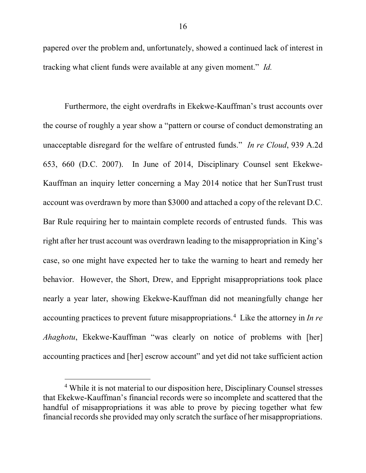papered over the problem and, unfortunately, showed a continued lack of interest in tracking what client funds were available at any given moment." *Id.* 

Furthermore, the eight overdrafts in Ekekwe-Kauffman's trust accounts over the course of roughly a year show a "pattern or course of conduct demonstrating an unacceptable disregard for the welfare of entrusted funds." *In re Cloud*, 939 A.2d 653, 660 (D.C. 2007). In June of 2014, Disciplinary Counsel sent Ekekwe-Kauffman an inquiry letter concerning a May 2014 notice that her SunTrust trust account was overdrawn by more than \$3000 and attached a copy of the relevant D.C. Bar Rule requiring her to maintain complete records of entrusted funds. This was right after her trust account was overdrawn leading to the misappropriation in King's case, so one might have expected her to take the warning to heart and remedy her behavior. However, the Short, Drew, and Eppright misappropriations took place nearly a year later, showing Ekekwe-Kauffman did not meaningfully change her accounting practices to prevent future misappropriations.4 Like the attorney in *In re Ahaghotu*, Ekekwe-Kauffman "was clearly on notice of problems with [her] accounting practices and [her] escrow account" and yet did not take sufficient action

<sup>&</sup>lt;sup>4</sup> While it is not material to our disposition here, Disciplinary Counsel stresses that Ekekwe-Kauffman's financial records were so incomplete and scattered that the handful of misappropriations it was able to prove by piecing together what few financial records she provided may only scratch the surface of her misappropriations.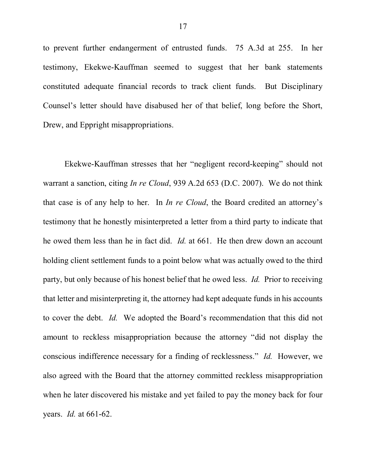to prevent further endangerment of entrusted funds. 75 A.3d at 255. In her testimony, Ekekwe-Kauffman seemed to suggest that her bank statements constituted adequate financial records to track client funds. But Disciplinary Counsel's letter should have disabused her of that belief, long before the Short, Drew, and Eppright misappropriations.

Ekekwe-Kauffman stresses that her "negligent record-keeping" should not warrant a sanction, citing *In re Cloud*, 939 A.2d 653 (D.C. 2007). We do not think that case is of any help to her. In *In re Cloud*, the Board credited an attorney's testimony that he honestly misinterpreted a letter from a third party to indicate that he owed them less than he in fact did. *Id.* at 661. He then drew down an account holding client settlement funds to a point below what was actually owed to the third party, but only because of his honest belief that he owed less. *Id.* Prior to receiving that letter and misinterpreting it, the attorney had kept adequate funds in his accounts to cover the debt. *Id.* We adopted the Board's recommendation that this did not amount to reckless misappropriation because the attorney "did not display the conscious indifference necessary for a finding of recklessness." *Id.* However, we also agreed with the Board that the attorney committed reckless misappropriation when he later discovered his mistake and yet failed to pay the money back for four years. *Id.* at 661-62.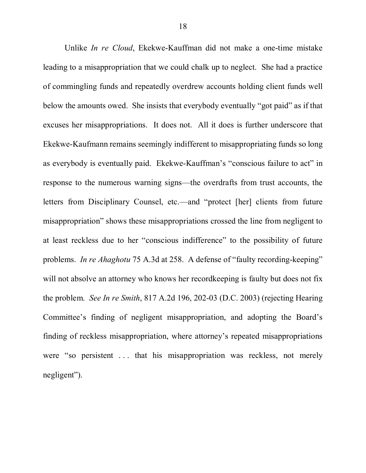Unlike *In re Cloud*, Ekekwe-Kauffman did not make a one-time mistake leading to a misappropriation that we could chalk up to neglect. She had a practice of commingling funds and repeatedly overdrew accounts holding client funds well below the amounts owed. She insists that everybody eventually "got paid" as if that excuses her misappropriations. It does not. All it does is further underscore that Ekekwe-Kaufmann remains seemingly indifferent to misappropriating funds so long as everybody is eventually paid. Ekekwe-Kauffman's "conscious failure to act" in response to the numerous warning signs—the overdrafts from trust accounts, the letters from Disciplinary Counsel, etc.—and "protect [her] clients from future misappropriation" shows these misappropriations crossed the line from negligent to at least reckless due to her "conscious indifference" to the possibility of future problems. *In re Ahaghotu* 75 A.3d at 258. A defense of "faulty recording-keeping" will not absolve an attorney who knows her recordkeeping is faulty but does not fix the problem. *See In re Smith*, 817 A.2d 196, 202-03 (D.C. 2003) (rejecting Hearing Committee's finding of negligent misappropriation, and adopting the Board's finding of reckless misappropriation, where attorney's repeated misappropriations were "so persistent ... that his misappropriation was reckless, not merely negligent").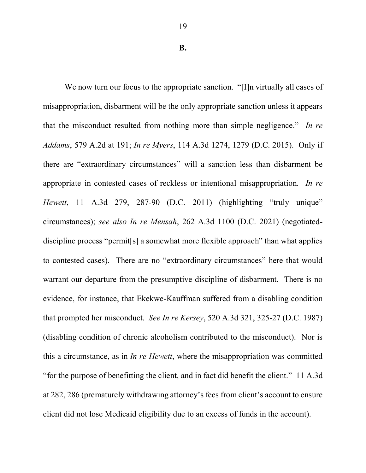We now turn our focus to the appropriate sanction. "[I]n virtually all cases of misappropriation, disbarment will be the only appropriate sanction unless it appears that the misconduct resulted from nothing more than simple negligence." *In re Addams*, 579 A.2d at 191; *In re Myers*, 114 A.3d 1274, 1279 (D.C. 2015). Only if there are "extraordinary circumstances" will a sanction less than disbarment be appropriate in contested cases of reckless or intentional misappropriation. *In re Hewett*, 11 A.3d 279, 287-90 (D.C. 2011) (highlighting "truly unique" circumstances); *see also In re Mensah*, 262 A.3d 1100 (D.C. 2021) (negotiateddiscipline process "permit[s] a somewhat more flexible approach" than what applies to contested cases). There are no "extraordinary circumstances" here that would warrant our departure from the presumptive discipline of disbarment. There is no evidence, for instance, that Ekekwe-Kauffman suffered from a disabling condition that prompted her misconduct. *See In re Kersey*, 520 A.3d 321, 325-27 (D.C. 1987) (disabling condition of chronic alcoholism contributed to the misconduct). Nor is this a circumstance, as in *In re Hewett*, where the misappropriation was committed "for the purpose of benefitting the client, and in fact did benefit the client." 11 A.3d at 282, 286 (prematurely withdrawing attorney's fees from client's account to ensure client did not lose Medicaid eligibility due to an excess of funds in the account).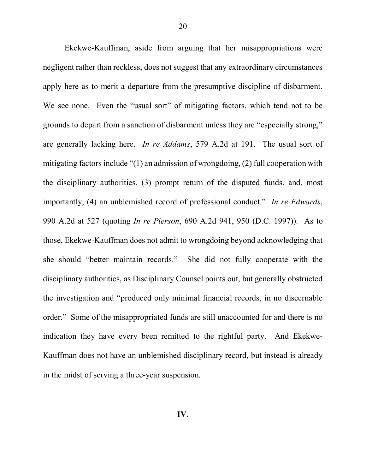Ekekwe-Kauffman, aside from arguing that her misappropriations were negligent rather than reckless, does not suggest that any extraordinary circumstances apply here as to merit a departure from the presumptive discipline of disbarment. We see none. Even the "usual sort" of mitigating factors, which tend not to be grounds to depart from a sanction of disbarment unless they are "especially strong," are generally lacking here. *In re Addams*, 579 A.2d at 191. The usual sort of mitigating factors include "(1) an admission of wrongdoing, (2) full cooperation with the disciplinary authorities, (3) prompt return of the disputed funds, and, most importantly, (4) an unblemished record of professional conduct." *In re Edwards*, 990 A.2d at 527 (quoting *In re Pierson*, 690 A.2d 941, 950 (D.C. 1997)). As to those, Ekekwe-Kauffman does not admit to wrongdoing beyond acknowledging that she should "better maintain records." She did not fully cooperate with the disciplinary authorities, as Disciplinary Counsel points out, but generally obstructed the investigation and "produced only minimal financial records, in no discernable order." Some of the misappropriated funds are still unaccounted for and there is no indication they have every been remitted to the rightful party. And Ekekwe-Kauffman does not have an unblemished disciplinary record, but instead is already in the midst of serving a three-year suspension.